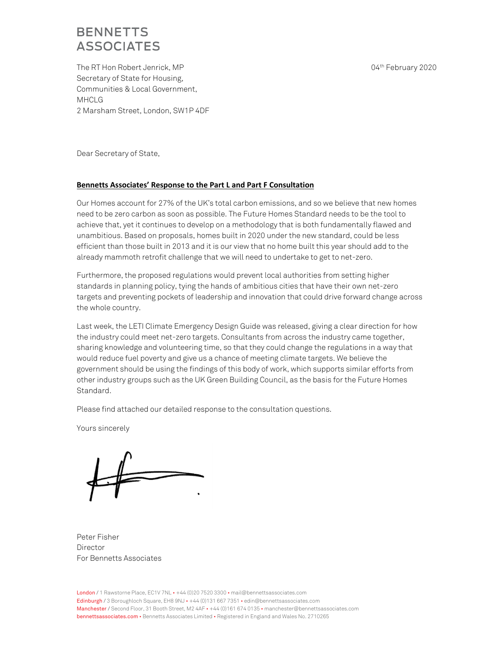The RT Hon Robert Jenrick, MP Secretary of State for Housing, Communities & Local Government, MHCLG 2 Marsham Street, London, SW1P 4DF 04th February 2020

Dear Secretary of State,

### **Bennetts Associates' Response to the Part L and Part F Consultation**

Our Homes account for 27% of the UK's total carbon emissions, and so we believe that new homes need to be zero carbon as soon as possible. The Future Homes Standard needs to be the tool to achieve that, yet it continues to develop on a methodology that is both fundamentally flawed and unambitious. Based on proposals, homes built in 2020 under the new standard, could be less efficient than those built in 2013 and it is our view that no home built this year should add to the already mammoth retrofit challenge that we will need to undertake to get to net-zero.

Furthermore, the proposed regulations would prevent local authorities from setting higher standards in planning policy, tying the hands of ambitious cities that have their own net-zero targets and preventing pockets of leadership and innovation that could drive forward change across the whole country.

Last week, the LETI Climate Emergency Design Guide was released, giving a clear direction for how the industry could meet net-zero targets. Consultants from across the industry came together, sharing knowledge and volunteering time, so that they could change the regulations in a way that would reduce fuel poverty and give us a chance of meeting climate targets. We believe the government should be using the findings of this body of work, which supports similar efforts from other industry groups such as the UK Green Building Council, as the basis for the Future Homes Standard.

Please find attached our detailed response to the consultation questions.

Yours sincerely

Peter Fisher Director For Bennetts Associates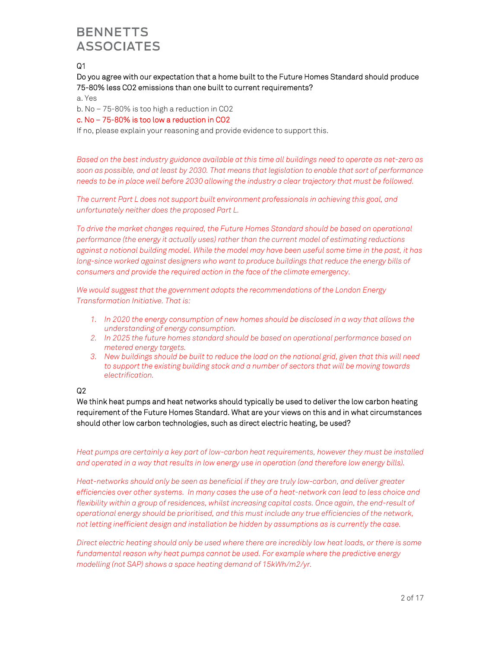# $Q<sub>1</sub>$

## Do you agree with our expectation that a home built to the Future Homes Standard should produce 75-80% less CO2 emissions than one built to current requirements?

#### a. Yes

b. No – 75-80% is too high a reduction in CO2

## c. No – 75-80% is too low a reduction in CO2

If no, please explain your reasoning and provide evidence to support this.

*Based on the best industry guidance available at this time all buildings need to operate as net-zero as soon as possible, and at least by 2030. That means that legislation to enable that sort of performance needs to be in place well before 2030 allowing the industry a clear trajectory that must be followed.* 

*The current Part L does not support built environment professionals in achieving this goal, and unfortunately neither does the proposed Part L.* 

*To drive the market changes required, the Future Homes Standard should be based on operational performance (the energy it actually uses) rather than the current model of estimating reductions against a notional building model. While the model may have been useful some time in the past, it has*  long-since worked against designers who want to produce buildings that reduce the energy bills of *consumers and provide the required action in the face of the climate emergency.* 

*We would suggest that the government adopts the recommendations of the London Energy Transformation Initiative. That is:* 

- *1. In 2020 the energy consumption of new homes should be disclosed in a way that allows the understanding of energy consumption.*
- *2. In 2025 the future homes standard should be based on operational performance based on metered energy targets.*
- *3. New buildings should be built to reduce the load on the national grid, given that this will need to support the existing building stock and a number of sectors that will be moving towards electrification.*

## Q2

We think heat pumps and heat networks should typically be used to deliver the low carbon heating requirement of the Future Homes Standard. What are your views on this and in what circumstances should other low carbon technologies, such as direct electric heating, be used?

*Heat pumps are certainly a key part of low-carbon heat requirements, however they must be installed and operated in a way that results in low energy use in operation (and therefore low energy bills).* 

*Heat-networks should only be seen as beneficial if they are truly low-carbon, and deliver greater efficiencies over other systems. In many cases the use of a heat-network can lead to less choice and flexibility within a group of residences, whilst increasing capital costs. Once again, the end-result of operational energy should be prioritised, and this must include any true efficiencies of the network, not letting inefficient design and installation be hidden by assumptions as is currently the case.* 

*Direct electric heating should only be used where there are incredibly low heat loads, or there is some fundamental reason why heat pumps cannot be used. For example where the predictive energy modelling (not SAP) shows a space heating demand of 15kWh/m2/yr.*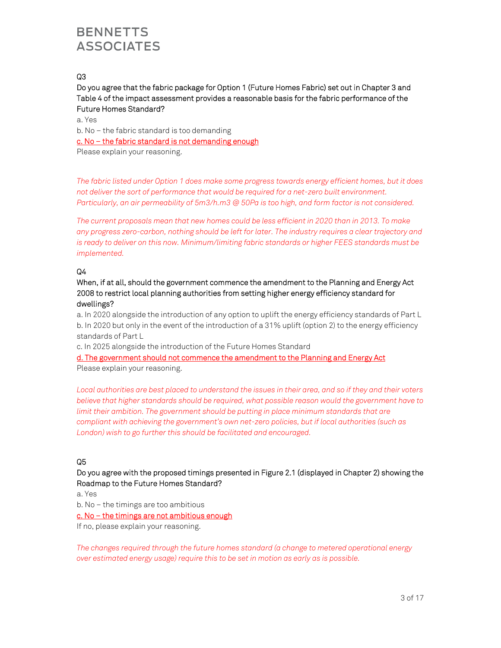## Q3

Do you agree that the fabric package for Option 1 (Future Homes Fabric) set out in Chapter 3 and Table 4 of the impact assessment provides a reasonable basis for the fabric performance of the Future Homes Standard?

a. Yes

b. No – the fabric standard is too demanding

c. No – the fabric standard is not demanding enough

Please explain your reasoning.

*The fabric listed under Option 1 does make some progress towards energy efficient homes, but it does not deliver the sort of performance that would be required for a net-zero built environment. Particularly, an air permeability of 5m3/h.m3 @ 50Pa is too high, and form factor is not considered.* 

*The current proposals mean that new homes could be less efficient in 2020 than in 2013. To make any progress zero-carbon, nothing should be left for later. The industry requires a clear trajectory and*  is ready to deliver on this now. Minimum/limiting fabric standards or higher FEES standards must be *implemented.* 

## Q4

## When, if at all, should the government commence the amendment to the Planning and Energy Act 2008 to restrict local planning authorities from setting higher energy efficiency standard for dwellings?

a. In 2020 alongside the introduction of any option to uplift the energy efficiency standards of Part L b. In 2020 but only in the event of the introduction of a 31% uplift (option 2) to the energy efficiency standards of Part L

c. In 2025 alongside the introduction of the Future Homes Standard

d. The government should not commence the amendment to the Planning and Energy Act Please explain your reasoning.

*Local authorities are best placed to understand the issues in their area, and so if they and their voters believe that higher standards should be required, what possible reason would the government have to limit their ambition. The government should be putting in place minimum standards that are compliant with achieving the government's own net-zero policies, but if local authorities (such as London) wish to go further this should be facilitated and encouraged.* 

## Q5

## Do you agree with the proposed timings presented in Figure 2.1 (displayed in Chapter 2) showing the Roadmap to the Future Homes Standard?

a. Yes

b. No – the timings are too ambitious

## c. No – the timings are not ambitious enough

If no, please explain your reasoning.

*The changes required through the future homes standard (a change to metered operational energy over estimated energy usage) require this to be set in motion as early as is possible.*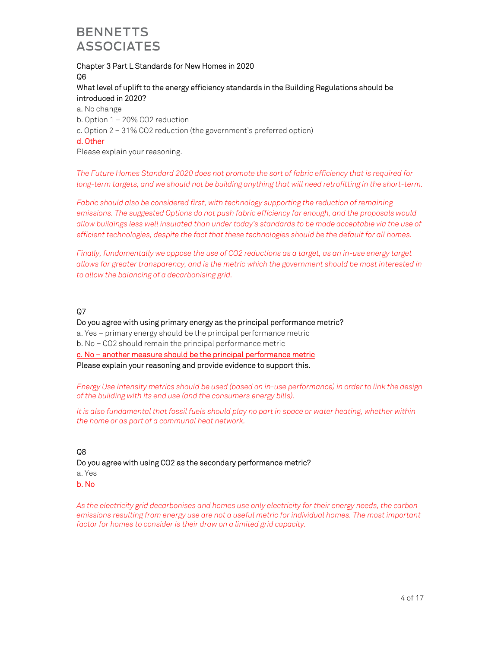## Chapter 3 Part L Standards for New Homes in 2020 Q6

## What level of uplift to the energy efficiency standards in the Building Regulations should be introduced in 2020?

- a. No change
- b. Option 1 20% CO2 reduction
- c. Option 2 31% CO2 reduction (the government's preferred option)

### d. Other

Please explain your reasoning.

*The Future Homes Standard 2020 does not promote the sort of fabric efficiency that is required for long-term targets, and we should not be building anything that will need retrofitting in the short-term.* 

*Fabric should also be considered first, with technology supporting the reduction of remaining emissions. The suggested Options do not push fabric efficiency far enough, and the proposals would allow buildings less well insulated than under today's standards to be made acceptable via the use of efficient technologies, despite the fact that these technologies should be the default for all homes.* 

*Finally, fundamentally we oppose the use of CO2 reductions as a target, as an in-use energy target allows far greater transparency, and is the metric which the government should be most interested in to allow the balancing of a decarbonising grid.* 

## Q7

### Do you agree with using primary energy as the principal performance metric?

a. Yes – primary energy should be the principal performance metric

b. No – CO2 should remain the principal performance metric

c. No – another measure should be the principal performance metric

Please explain your reasoning and provide evidence to support this.

*Energy Use Intensity metrics should be used (based on in-use performance) in order to link the design of the building with its end use (and the consumers energy bills).* 

*It is also fundamental that fossil fuels should play no part in space or water heating, whether within the home or as part of a communal heat network.* 

## Q8

Do you agree with using CO2 as the secondary performance metric? a. Yes b. No

*As the electricity grid decarbonises and homes use only electricity for their energy needs, the carbon emissions resulting from energy use are not a useful metric for individual homes. The most important factor for homes to consider is their draw on a limited grid capacity.*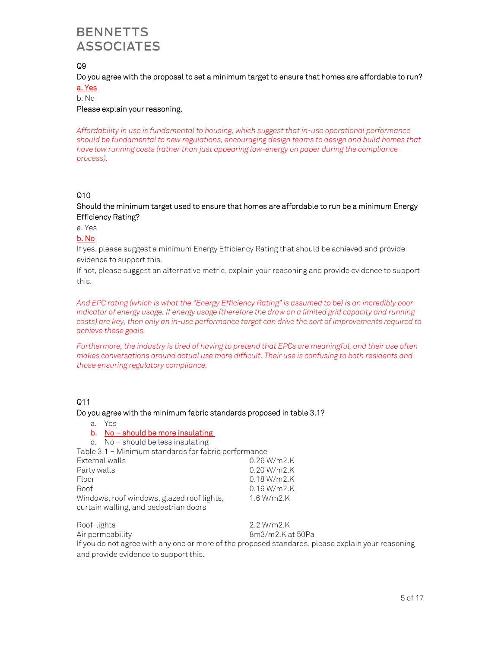# Q9

## Do you agree with the proposal to set a minimum target to ensure that homes are affordable to run?

a. Yes

## b. No

## Please explain your reasoning.

*Affordability in use is fundamental to housing, which suggest that in-use operational performance should be fundamental to new regulations, encouraging design teams to design and build homes that have low running costs (rather than just appearing low-energy on paper during the compliance process).* 

## Q10

## Should the minimum target used to ensure that homes are affordable to run be a minimum Energy Efficiency Rating?

a. Yes

## b. No

If yes, please suggest a minimum Energy Efficiency Rating that should be achieved and provide evidence to support this.

If not, please suggest an alternative metric, explain your reasoning and provide evidence to support this.

*And EPC rating (which is what the "Energy Efficiency Rating" is assumed to be) is an incredibly poor indicator of energy usage. If energy usage (therefore the draw on a limited grid capacity and running costs) are key, then only an in-use performance target can drive the sort of improvements required to achieve these goals.* 

*Furthermore, the industry is tired of having to pretend that EPCs are meaningful, and their use often makes conversations around actual use more difficult. Their use is confusing to both residents and those ensuring regulatory compliance.* 

## Q11

### Do you agree with the minimum fabric standards proposed in table 3.1?

- a. Yes
- b. No should be more insulating
- c. No should be less insulating

Table 3.1 – Minimum standards for fabric performance

| External walls                             | $0.26 W/m2$ .K |
|--------------------------------------------|----------------|
| Party walls                                | $0.20 W/m2$ .K |
| Floor                                      | $0.18 W/m2$ .K |
| Roof                                       | $0.16 W/m2$ .K |
| Windows, roof windows, glazed roof lights, | $1.6 W/m2$ .K  |
| curtain walling, and pedestrian doors      |                |

Roof-lights 2.2 W/m2.K

Air permeability and the state of the 8m3/m2.K at 50Pa

If you do not agree with any one or more of the proposed standards, please explain your reasoning and provide evidence to support this.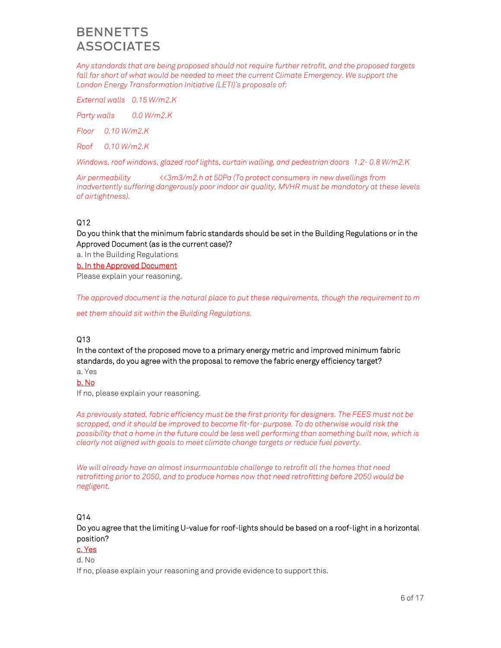*Any standards that are being proposed should not require further retrofit, and the proposed targets*  fall far short of what would be needed to meet the current Climate Emergency. We support the *London Energy Transformation Initiative (LETI)'s proposals of:* 

*External walls 0.15 W/m2.K* 

*Party walls 0.0 W/m2.K* 

*Floor 0.10 W/m2.K* 

*Roof 0.10 W/m2.K* 

*Windows, roof windows, glazed roof lights, curtain walling, and pedestrian doors 1.2- 0.8 W/m2.K* 

*Air permeability <<3m3/m2.h at 50Pa (To protect consumers in new dwellings from inadvertently suffering dangerously poor indoor air quality, MVHR must be mandatory at these levels of airtightness).* 

## $Q12$

Do you think that the minimum fabric standards should be set in the Building Regulations or in the Approved Document (as is the current case)?

a. In the Building Regulations

b. In the Approved Document

Please explain your reasoning.

*The approved document is the natural place to put these requirements, though the requirement to m* 

*eet them should sit within the Building Regulations.* 

## Q13

In the context of the proposed move to a primary energy metric and improved minimum fabric standards, do you agree with the proposal to remove the fabric energy efficiency target?

a. Yes

## b. No

If no, please explain your reasoning.

*As previously stated, fabric efficiency must be the first priority for designers. The FEES must not be scrapped, and it should be improved to become fit-for-purpose. To do otherwise would risk the possibility that a home in the future could be less well performing than something built now, which is clearly not aligned with goals to meet climate change targets or reduce fuel poverty.* 

*We will already have an almost insurmountable challenge to retrofit all the homes that need retrofitting prior to 2050, and to produce homes now that need retrofitting before 2050 would be negligent.* 

## Q14

Do you agree that the limiting U-value for roof-lights should be based on a roof-light in a horizontal position?

## c. Yes

d. No

If no, please explain your reasoning and provide evidence to support this.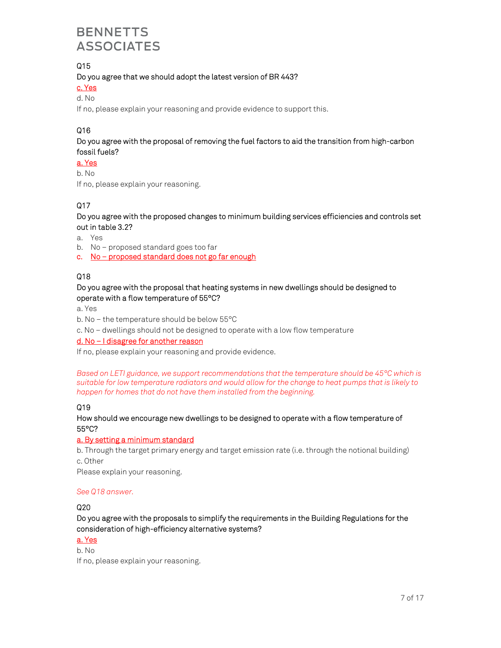## Q15

Do you agree that we should adopt the latest version of BR 443?

# c. Yes

d. No

If no, please explain your reasoning and provide evidence to support this.

# Q16

Do you agree with the proposal of removing the fuel factors to aid the transition from high-carbon fossil fuels?

a. Yes

b. No

If no, please explain your reasoning.

## Q17

Do you agree with the proposed changes to minimum building services efficiencies and controls set out in table 3.2?

a. Yes

- b. No proposed standard goes too far
- c. No proposed standard does not go far enough

## Q18

## Do you agree with the proposal that heating systems in new dwellings should be designed to operate with a flow temperature of 55°C?

a. Yes

- b. No the temperature should be below 55°C
- c. No dwellings should not be designed to operate with a low flow temperature

### d. No – I disagree for another reason

If no, please explain your reasoning and provide evidence.

*Based on LETI guidance, we support recommendations that the temperature should be 45°C which is suitable for low temperature radiators and would allow for the change to heat pumps that is likely to happen for homes that do not have them installed from the beginning.* 

### Q19

### How should we encourage new dwellings to be designed to operate with a flow temperature of 55°C?

### a. By setting a minimum standard

b. Through the target primary energy and target emission rate (i.e. through the notional building) c. Other

Please explain your reasoning.

### *See Q18 answer.*

## Q20

Do you agree with the proposals to simplify the requirements in the Building Regulations for the consideration of high-efficiency alternative systems?

a. Yes

b. No

If no, please explain your reasoning.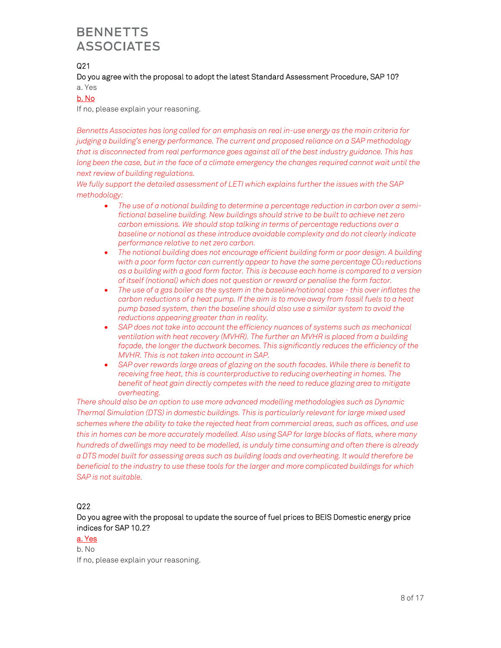## $Q21$

## Do you agree with the proposal to adopt the latest Standard Assessment Procedure, SAP 10?

#### a. Yes

## b. No

If no, please explain your reasoning.

*Bennetts Associates has long called for an emphasis on real in-use energy as the main criteria for judging a building's energy performance. The current and proposed reliance on a SAP methodology that is disconnected from real performance goes against all of the best industry guidance. This has long been the case, but in the face of a climate emergency the changes required cannot wait until the next review of building regulations.* 

*We fully support the detailed assessment of LETI which explains further the issues with the SAP methodology:* 

- *The use of a notional building to determine a percentage reduction in carbon over a semifictional baseline building. New buildings should strive to be built to achieve net zero carbon emissions. We should stop talking in terms of percentage reductions over a baseline or notional as these introduce avoidable complexity and do not clearly indicate performance relative to net zero carbon.*
- *The notional building does not encourage efficient building form or poor design. A building with a poor form factor can currently appear to have the same percentage CO2 reductions as a building with a good form factor. This is because each home is compared to a version of itself (notional) which does not question or reward or penalise the form factor.*
- *The use of a gas boiler as the system in the baseline/notional case this over inflates the carbon reductions of a heat pump. If the aim is to move away from fossil fuels to a heat pump based system, then the baseline should also use a similar system to avoid the reductions appearing greater than in reality.*
- *SAP does not take into account the efficiency nuances of systems such as mechanical ventilation with heat recovery (MVHR). The further an MVHR is placed from a building*  façade, the longer the ductwork becomes. This significantly reduces the efficiency of the *MVHR. This is not taken into account in SAP.*
- *SAP over rewards large areas of glazing on the south facades. While there is benefit to receiving free heat, this is counterproductive to reducing overheating in homes. The benefit of heat gain directly competes with the need to reduce glazing area to mitigate overheating.*

*There should also be an option to use more advanced modelling methodologies such as Dynamic Thermal Simulation (DTS) in domestic buildings. This is particularly relevant for large mixed used schemes where the ability to take the rejected heat from commercial areas, such as offices, and use this in homes can be more accurately modelled. Also using SAP for large blocks of flats, where many hundreds of dwellings may need to be modelled, is unduly time consuming and often there is already a DTS model built for assessing areas such as building loads and overheating. It would therefore be beneficial to the industry to use these tools for the larger and more complicated buildings for which SAP is not suitable.* 

## Q22

## Do you agree with the proposal to update the source of fuel prices to BEIS Domestic energy price indices for SAP 10.2?

## a. Yes

b. No If no, please explain your reasoning.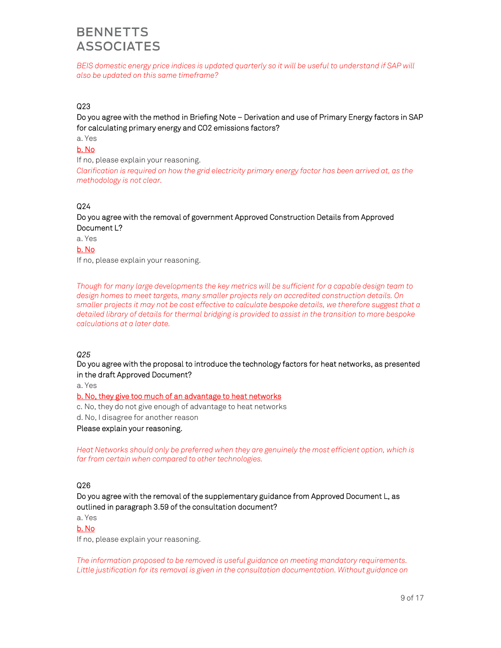*BEIS domestic energy price indices is updated quarterly so it will be useful to understand if SAP will also be updated on this same timeframe?* 

### Q23

## Do you agree with the method in Briefing Note – Derivation and use of Primary Energy factors in SAP for calculating primary energy and CO2 emissions factors?

a. Yes

## b. No

If no, please explain your reasoning.

*Clarification is required on how the grid electricity primary energy factor has been arrived at, as the methodology is not clear.* 

### Q24

## Do you agree with the removal of government Approved Construction Details from Approved Document L?

a. Yes

b. No

If no, please explain your reasoning.

*Though for many large developments the key metrics will be sufficient for a capable design team to design homes to meet targets, many smaller projects rely on accredited construction details. On smaller projects it may not be cost effective to calculate bespoke details, we therefore suggest that a detailed library of details for thermal bridging is provided to assist in the transition to more bespoke calculations at a later date.* 

### *Q25*

### Do you agree with the proposal to introduce the technology factors for heat networks, as presented in the draft Approved Document?

a. Yes

### b. No, they give too much of an advantage to heat networks

c. No, they do not give enough of advantage to heat networks

d. No, I disagree for another reason

Please explain your reasoning.

Heat Networks should only be preferred when they are genuinely the most efficient option, which is *far from certain when compared to other technologies.* 

## Q26

Do you agree with the removal of the supplementary guidance from Approved Document L, as outlined in paragraph 3.59 of the consultation document?

a. Yes

### b. No

If no, please explain your reasoning.

*The information proposed to be removed is useful guidance on meeting mandatory requirements. Little justification for its removal is given in the consultation documentation. Without guidance on*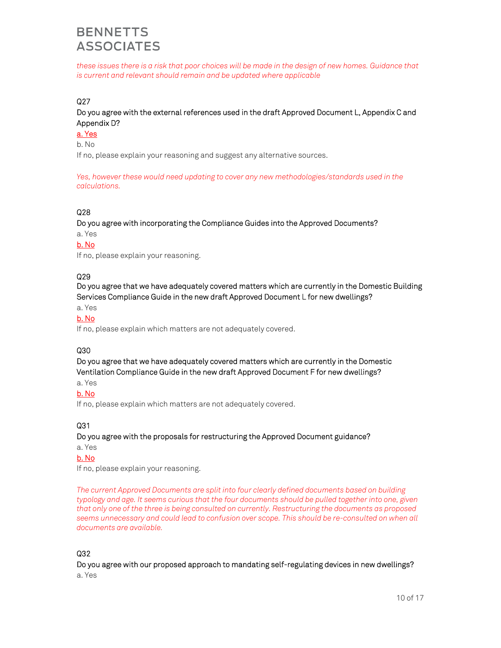*these issues there is a risk that poor choices will be made in the design of new homes. Guidance that is current and relevant should remain and be updated where applicable* 

### Q<sub>27</sub>

Do you agree with the external references used in the draft Approved Document L, Appendix C and Appendix D?

a. Yes

b. No

If no, please explain your reasoning and suggest any alternative sources.

*Yes, however these would need updating to cover any new methodologies/standards used in the calculations.* 

### Q28

Do you agree with incorporating the Compliance Guides into the Approved Documents?

a. Yes

#### b. No

If no, please explain your reasoning.

### Q29

Do you agree that we have adequately covered matters which are currently in the Domestic Building Services Compliance Guide in the new draft Approved Document L for new dwellings?

a. Yes

## b. No

If no, please explain which matters are not adequately covered.

## Q30

Do you agree that we have adequately covered matters which are currently in the Domestic Ventilation Compliance Guide in the new draft Approved Document F for new dwellings?

a. Yes

### b. No

If no, please explain which matters are not adequately covered.

### Q31

Do you agree with the proposals for restructuring the Approved Document guidance?

a. Yes

## b. No

If no, please explain your reasoning.

*The current Approved Documents are split into four clearly defined documents based on building typology and age. It seems curious that the four documents should be pulled together into one, given that only one of the three is being consulted on currently. Restructuring the documents as proposed seems unnecessary and could lead to confusion over scope. This should be re-consulted on when all documents are available.* 

### Q32

Do you agree with our proposed approach to mandating self-regulating devices in new dwellings?

a. Yes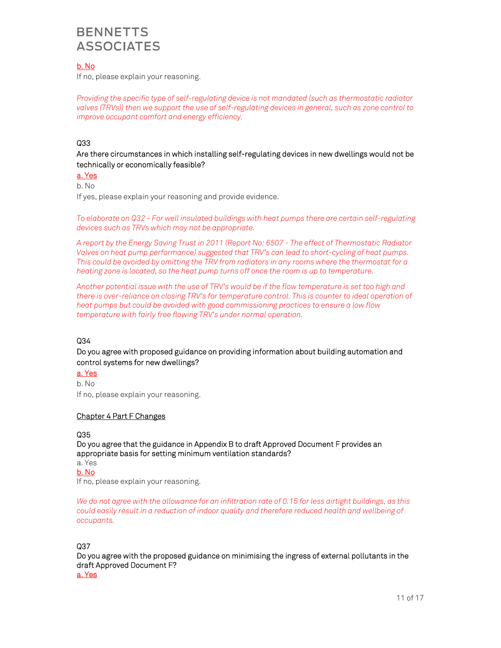## b. No

If no, please explain your reasoning.

*Providing the specific type of self-regulating device is not mandated (such as thermostatic radiator valves (TRVs)) then we support the use of self-regulating devices in general, such as zone control to improve occupant comfort and energy efficiency.* 

## Q33

Are there circumstances in which installing self-regulating devices in new dwellings would not be technically or economically feasible?

## a. Yes

b. No

If yes, please explain your reasoning and provide evidence.

*To elaborate on Q32 - For well insulated buildings with heat pumps there are certain self-regulating devices such as TRVs which may not be appropriate.* 

*A report by the Energy Saving Trust in 2011 (Report No: 6507 - The effect of Thermostatic Radiator Valves on heat pump performance) suggested that TRV's can lead to short-cycling of heat pumps. This could be avoided by omitting the TRV from radiators in any rooms where the thermostat for a heating zone is located, so the heat pump turns off once the room is up to temperature.* 

*Another potential issue with the use of TRV's would be if the flow temperature is set too high and there is over-reliance on closing TRV's for temperature control. This is counter to ideal operation of heat pumps but could be avoided with good commissioning practices to ensure a low flow temperature with fairly free flowing TRV's under normal operation.* 

### Q34

Do you agree with proposed guidance on providing information about building automation and control systems for new dwellings?

## a. Yes

b. No If no, please explain your reasoning.

### Chapter 4 Part F Changes

### Q35

Do you agree that the guidance in Appendix B to draft Approved Document F provides an appropriate basis for setting minimum ventilation standards?

a. Yes

b. No

If no, please explain your reasoning.

*We do not agree with the allowance for an infiltration rate of 0.15 for less airtight buildings, as this could easily result in a reduction of indoor quality and therefore reduced health and wellbeing of occupants.* 

### Q37

Do you agree with the proposed guidance on minimising the ingress of external pollutants in the draft Approved Document F?

a. Yes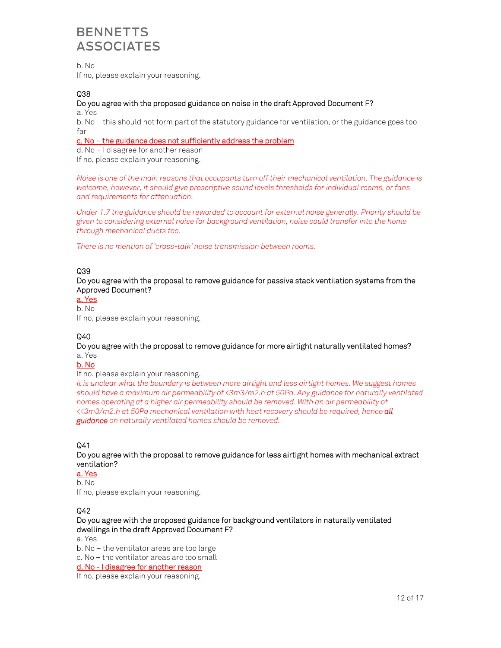b. No If no, please explain your reasoning.

## Q38

## Do you agree with the proposed guidance on noise in the draft Approved Document F?

a. Yes

b. No – this should not form part of the statutory guidance for ventilation, or the guidance goes too far

### c. No – the guidance does not sufficiently address the problem

d. No – I disagree for another reason If no, please explain your reasoning.

*Noise is one of the main reasons that occupants turn off their mechanical ventilation. The guidance is welcome, however, it should give prescriptive sound levels thresholds for individual rooms, or fans and requirements for attenuation.* 

*Under 1.7 the guidance should be reworded to account for external noise generally. Priority should be given to considering external noise for background ventilation, noise could transfer into the home through mechanical ducts too.* 

*There is no mention of 'cross-talk' noise transmission between rooms.* 

## Q39

Do you agree with the proposal to remove guidance for passive stack ventilation systems from the Approved Document?

a. Yes b. No

If no, please explain your reasoning.

## Q40

### Do you agree with the proposal to remove guidance for more airtight naturally ventilated homes? a. Yes

### b. No

If no, please explain your reasoning.

*It is unclear what the boundary is between more airtight and less airtight homes. We suggest homes should have a maximum air permeability of <3m3/m2.h at 50Pa. Any guidance for naturally ventilated homes operating at a higher air permeability should be removed. With an air permeability of <<3m3/m2.h at 50Pa mechanical ventilation with heat recovery should be required, hence all guidance on naturally ventilated homes should be removed.* 

## Q41

## Do you agree with the proposal to remove guidance for less airtight homes with mechanical extract ventilation?

## a. Yes

b. No If no, please explain your reasoning.

## Q42

Do you agree with the proposed guidance for background ventilators in naturally ventilated dwellings in the draft Approved Document F?

a. Yes

b. No – the ventilator areas are too large

c. No – the ventilator areas are too small

### d. No - I disagree for another reason

If no, please explain your reasoning.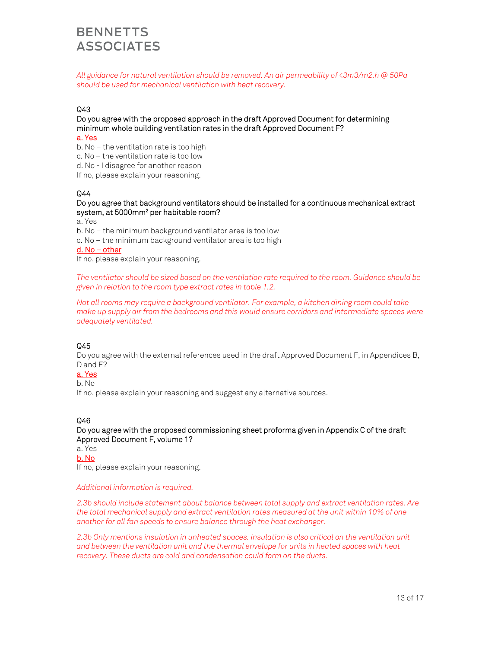*All guidance for natural ventilation should be removed. An air permeability of <3m3/m2.h @ 50Pa should be used for mechanical ventilation with heat recovery.* 

## Q43

#### Do you agree with the proposed approach in the draft Approved Document for determining minimum whole building ventilation rates in the draft Approved Document F? a. Yes

- b. No the ventilation rate is too high
- c. No the ventilation rate is too low
- d. No I disagree for another reason
- If no, please explain your reasoning.

### Q44

#### Do you agree that background ventilators should be installed for a continuous mechanical extract system, at 5000mm<sup>2</sup> per habitable room?

a. Yes

- b. No the minimum background ventilator area is too low
- c. No the minimum background ventilator area is too high

#### d. No – other

If no, please explain your reasoning.

*The ventilator should be sized based on the ventilation rate required to the room. Guidance should be given in relation to the room type extract rates in table 1.2.* 

*Not all rooms may require a background ventilator. For example, a kitchen dining room could take make up supply air from the bedrooms and this would ensure corridors and intermediate spaces were adequately ventilated.* 

### Q45

Do you agree with the external references used in the draft Approved Document F, in Appendices B, D and E?

#### a. Yes

b. No

If no, please explain your reasoning and suggest any alternative sources.

## Q46

Do you agree with the proposed commissioning sheet proforma given in Appendix C of the draft Approved Document F, volume 1?

a. Yes

b. No

If no, please explain your reasoning.

#### *Additional information is required.*

*2.3b should include statement about balance between total supply and extract ventilation rates. Are the total mechanical supply and extract ventilation rates measured at the unit within 10% of one another for all fan speeds to ensure balance through the heat exchanger.* 

*2.3b Only mentions insulation in unheated spaces. Insulation is also critical on the ventilation unit and between the ventilation unit and the thermal envelope for units in heated spaces with heat recovery. These ducts are cold and condensation could form on the ducts.*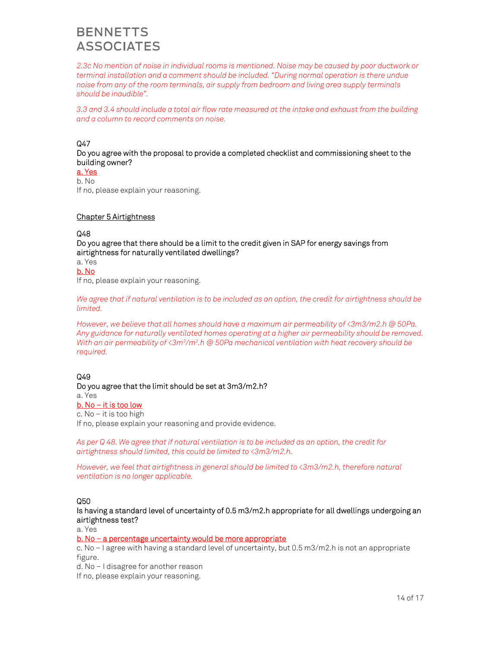*2.3c No mention of noise in individual rooms is mentioned. Noise may be caused by poor ductwork or terminal installation and a comment should be included. "During normal operation is there undue noise from any of the room terminals, air supply from bedroom and living area supply terminals should be inaudible".* 

*3.3 and 3.4 should include a total air flow rate measured at the intake and exhaust from the building and a column to record comments on noise.* 

### Q47

Do you agree with the proposal to provide a completed checklist and commissioning sheet to the building owner?

a. Yes b. No

If no, please explain your reasoning.

#### Chapter 5 Airtightness

#### Q48

Do you agree that there should be a limit to the credit given in SAP for energy savings from airtightness for naturally ventilated dwellings?

a. Yes

### b. No

If no, please explain your reasoning.

*We agree that if natural ventilation is to be included as an option, the credit for airtightness should be limited.* 

*However, we believe that all homes should have a maximum air permeability of <3m3/m2.h @ 50Pa. Any guidance for naturally ventilated homes operating at a higher air permeability should be removed. With an air permeability of <3m3 /m2 .h @ 50Pa mechanical ventilation with heat recovery should be required.* 

### Q49

#### Do you agree that the limit should be set at 3m3/m2.h?

a. Yes

## b. No – it is too low

c. No – it is too high

If no, please explain your reasoning and provide evidence.

*As per Q 48. We agree that if natural ventilation is to be included as an option, the credit for airtightness should limited, this could be limited to <3m3/m2.h.* 

*However, we feel that airtightness in general should be limited to <3m3/m2.h, therefore natural ventilation is no longer applicable.* 

### Q50

Is having a standard level of uncertainty of 0.5 m3/m2.h appropriate for all dwellings undergoing an airtightness test?

a. Yes

#### b. No – a percentage uncertainty would be more appropriate

c. No – I agree with having a standard level of uncertainty, but 0.5 m3/m2.h is not an appropriate figure.

d. No – I disagree for another reason

If no, please explain your reasoning.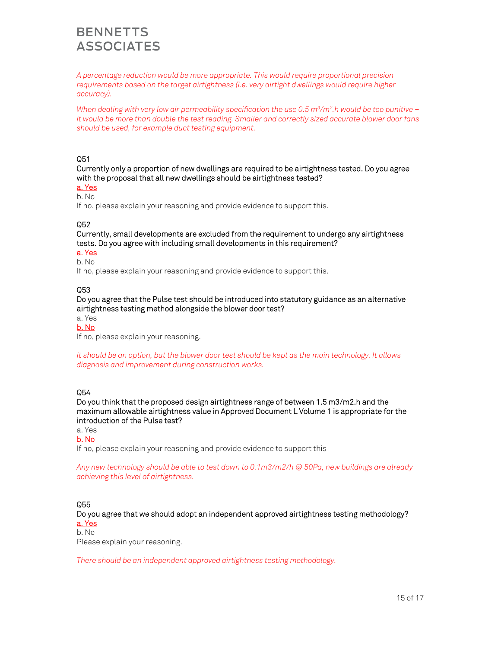*A percentage reduction would be more appropriate. This would require proportional precision requirements based on the target airtightness (i.e. very airtight dwellings would require higher accuracy).* 

*When dealing with very low air permeability specification the use 0.5 m3 /m2 .h would be too punitive – it would be more than double the test reading. Smaller and correctly sized accurate blower door fans should be used, for example duct testing equipment.* 

### Q51

Currently only a proportion of new dwellings are required to be airtightness tested. Do you agree with the proposal that all new dwellings should be airtightness tested?

a. Yes b. No

If no, please explain your reasoning and provide evidence to support this.

### Q52

Currently, small developments are excluded from the requirement to undergo any airtightness tests. Do you agree with including small developments in this requirement?

a. Yes

b. No

If no, please explain your reasoning and provide evidence to support this.

### Q53

Do you agree that the Pulse test should be introduced into statutory guidance as an alternative airtightness testing method alongside the blower door test?

a. Yes

b. No

If no, please explain your reasoning.

*It should be an option, but the blower door test should be kept as the main technology. It allows diagnosis and improvement during construction works.* 

## Q54

Do you think that the proposed design airtightness range of between 1.5 m3/m2.h and the maximum allowable airtightness value in Approved Document L Volume 1 is appropriate for the introduction of the Pulse test?

a. Yes

b. No

If no, please explain your reasoning and provide evidence to support this

*Any new technology should be able to test down to 0.1m3/m2/h @ 50Pa, new buildings are already achieving this level of airtightness.* 

### Q55

Do you agree that we should adopt an independent approved airtightness testing methodology? a. Yes

#### b. No

Please explain your reasoning.

*There should be an independent approved airtightness testing methodology.*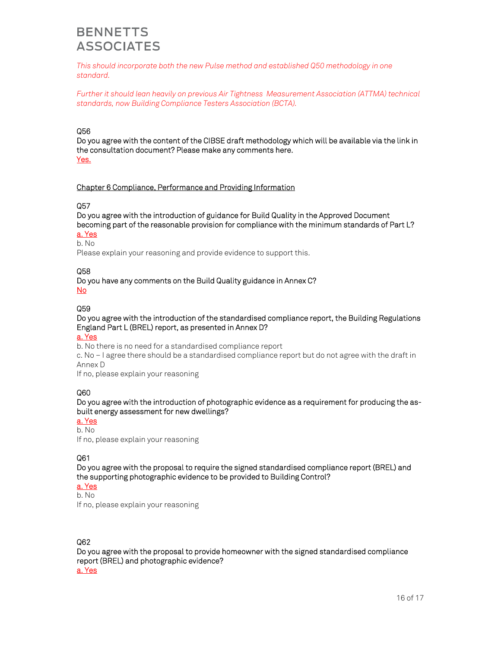*This should incorporate both the new Pulse method and established Q50 methodology in one standard.* 

*Further it should lean heavily on previous Air Tightness Measurement Association (ATTMA) technical standards, now Building Compliance Testers Association (BCTA).* 

### Q56

Do you agree with the content of the CIBSE draft methodology which will be available via the link in the consultation document? Please make any comments here. Yes.

### Chapter 6 Compliance, Performance and Providing Information

### Q57

Do you agree with the introduction of guidance for Build Quality in the Approved Document becoming part of the reasonable provision for compliance with the minimum standards of Part L?

# a. Yes

b. No

Please explain your reasoning and provide evidence to support this.

#### Q58

#### Do you have any comments on the Build Quality guidance in Annex C? No

#### Q59

Do you agree with the introduction of the standardised compliance report, the Building Regulations England Part L (BREL) report, as presented in Annex D?

#### a. Yes

b. No there is no need for a standardised compliance report

c. No – I agree there should be a standardised compliance report but do not agree with the draft in Annex D

If no, please explain your reasoning

### Q60

Do you agree with the introduction of photographic evidence as a requirement for producing the asbuilt energy assessment for new dwellings?

#### a. Yes b. No

If no, please explain your reasoning

### Q61

Do you agree with the proposal to require the signed standardised compliance report (BREL) and the supporting photographic evidence to be provided to Building Control?

a. Yes

b. No If no, please explain your reasoning

### Q62

Do you agree with the proposal to provide homeowner with the signed standardised compliance report (BREL) and photographic evidence? a. Yes